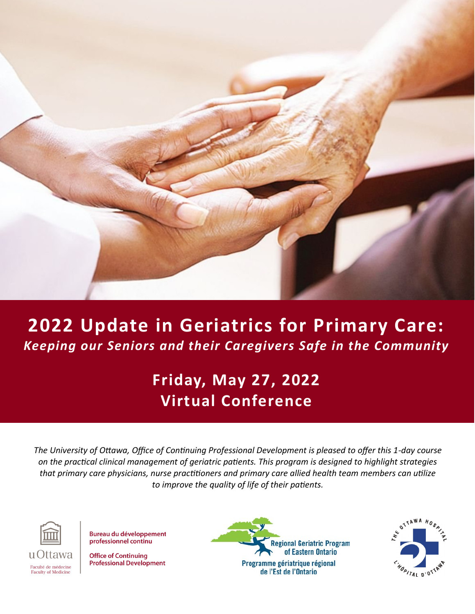

## **2022 Update in Geriatrics for Primary Care:** *Keeping our Seniors and their Caregivers Safe in the Community*

# **Friday, May 27, 2022 Virtual Conference**

*The University of Ottawa, Office of Continuing Professional Development is pleased to offer this 1-day course on the practical clinical management of geriatric patients. This program is designed to highlight strategies that primary care physicians, nurse practitioners and primary care allied health team members can utilize to improve the quality of life of their patients.* 



Bureau du développement professionnel continu

**Office of Continuing Professional Development** 



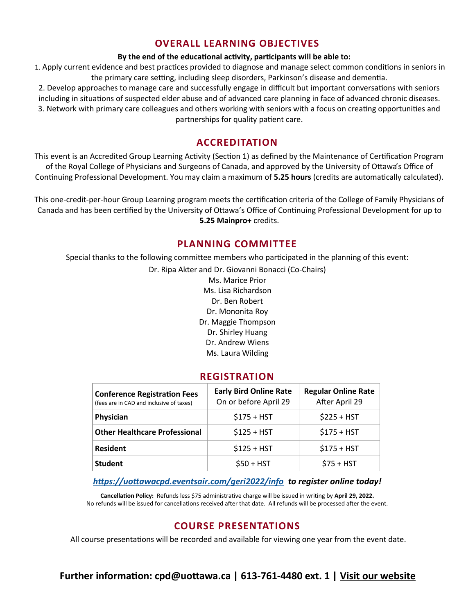#### **OVERALL LEARNING OBJECTIVES**

#### **By the end of the educational activity, participants will be able to:**

1. Apply current evidence and best practices provided to diagnose and manage select common conditions in seniors in the primary care setting, including sleep disorders, Parkinson's disease and dementia.

2. Develop approaches to manage care and successfully engage in difficult but important conversations with seniors including in situations of suspected elder abuse and of advanced care planning in face of advanced chronic diseases. 3. Network with primary care colleagues and others working with seniors with a focus on creating opportunities and partnerships for quality patient care.

#### **ACCREDITATION**

This event is an Accredited Group Learning Activity (Section 1) as defined by the Maintenance of Certification Program of the Royal College of Physicians and Surgeons of Canada, and approved by the University of Ottawa's Office of Continuing Professional Development. You may claim a maximum of **5.25 hours** (credits are automatically calculated).

This one-credit-per-hour Group Learning program meets the certification criteria of the College of Family Physicians of Canada and has been certified by the University of Ottawa's Office of Continuing Professional Development for up to **5.25 Mainpro+** credits.

#### **PLANNING COMMITTEE**

Special thanks to the following committee members who participated in the planning of this event:

Dr. Ripa Akter and Dr. Giovanni Bonacci (Co-Chairs) Ms. Marice Prior Ms. Lisa Richardson Dr. Ben Robert Dr. Mononita Roy Dr. Maggie Thompson Dr. Shirley Huang Dr. Andrew Wiens Ms. Laura Wilding

### **REGISTRATION**

| <b>Conference Registration Fees</b><br>(fees are in CAD and inclusive of taxes) | <b>Early Bird Online Rate</b><br>On or before April 29 | <b>Regular Online Rate</b><br>After April 29 |
|---------------------------------------------------------------------------------|--------------------------------------------------------|----------------------------------------------|
| Physician                                                                       | $$175 + HST$                                           | $$225 + HST$                                 |
| <b>Other Healthcare Professional</b>                                            | $$125 + HST$                                           | $$175 + HST$                                 |
| <b>Resident</b>                                                                 | $$125 + HST$                                           | $$175 + HST$                                 |
| <b>Student</b>                                                                  | $$50 + HST$                                            | $$75 + HST$                                  |

#### *<https://uottawacpd.eventsair.com/geri2022/info>to register online today!*

**Cancellation Policy:** Refunds less \$75 administrative charge will be issued in writing by **April 29, 2022.** No refunds will be issued for cancellations received after that date. All refunds will be processed after the event.

#### **COURSE PRESENTATIONS**

All course presentations will be recorded and available for viewing one year from the event date.

**Further information: cpd@uottawa.ca | 613-761-4480 ext. 1 | [Visit our website](https://med.uottawa.ca/professional-development/)**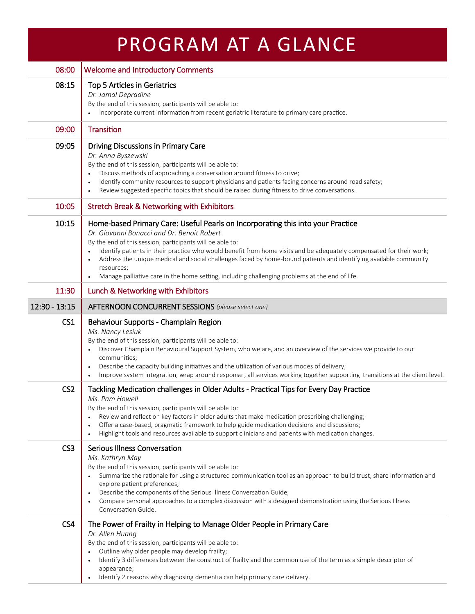| PROGRAM AT A GLANCE    |                                                                                                                                                                                                                                                                                                                                                                                                                                                                                                                                                                     |  |
|------------------------|---------------------------------------------------------------------------------------------------------------------------------------------------------------------------------------------------------------------------------------------------------------------------------------------------------------------------------------------------------------------------------------------------------------------------------------------------------------------------------------------------------------------------------------------------------------------|--|
| 08:00                  | <b>Welcome and Introductory Comments</b>                                                                                                                                                                                                                                                                                                                                                                                                                                                                                                                            |  |
| 08:15                  | Top 5 Articles in Geriatrics<br>Dr. Jamal Depradine<br>By the end of this session, participants will be able to:<br>Incorporate current information from recent geriatric literature to primary care practice.                                                                                                                                                                                                                                                                                                                                                      |  |
| 09:00                  | <b>Transition</b>                                                                                                                                                                                                                                                                                                                                                                                                                                                                                                                                                   |  |
| 09:05                  | <b>Driving Discussions in Primary Care</b><br>Dr. Anna Byszewski<br>By the end of this session, participants will be able to:<br>Discuss methods of approaching a conversation around fitness to drive;<br>Identify community resources to support physicians and patients facing concerns around road safety;<br>Review suggested specific topics that should be raised during fitness to drive conversations.                                                                                                                                                     |  |
| 10:05                  | <b>Stretch Break &amp; Networking with Exhibitors</b>                                                                                                                                                                                                                                                                                                                                                                                                                                                                                                               |  |
| 10:15                  | Home-based Primary Care: Useful Pearls on Incorporating this into your Practice<br>Dr. Giovanni Bonacci and Dr. Benoit Robert<br>By the end of this session, participants will be able to:<br>Identify patients in their practice who would benefit from home visits and be adequately compensated for their work;<br>Address the unique medical and social challenges faced by home-bound patients and identifying available community<br>resources;<br>Manage palliative care in the home setting, including challenging problems at the end of life.             |  |
| 11:30                  | Lunch & Networking with Exhibitors                                                                                                                                                                                                                                                                                                                                                                                                                                                                                                                                  |  |
| $12:30 - 13:15$        | AFTERNOON CONCURRENT SESSIONS (please select one)                                                                                                                                                                                                                                                                                                                                                                                                                                                                                                                   |  |
| CS <sub>1</sub>        | Behaviour Supports - Champlain Region<br>Ms. Nancy Lesiuk<br>By the end of this session, participants will be able to:<br>Discover Champlain Behavioural Support System, who we are, and an overview of the services we provide to our<br>communities;<br>Describe the capacity building initiatives and the utilization of various modes of delivery;<br>Improve system integration, wrap around response, all services working together supporting transitions at the client level.                                                                               |  |
| CS <sub>2</sub>        | Tackling Medication challenges in Older Adults - Practical Tips for Every Day Practice<br>Ms. Pam Howell<br>By the end of this session, participants will be able to:<br>Review and reflect on key factors in older adults that make medication prescribing challenging;<br>Offer a case-based, pragmatic framework to help guide medication decisions and discussions;<br>Highlight tools and resources available to support clinicians and patients with medication changes.                                                                                      |  |
| CS <sub>3</sub><br>CS4 | <b>Serious Illness Conversation</b><br>Ms. Kathryn May<br>By the end of this session, participants will be able to:<br>Summarize the rationale for using a structured communication tool as an approach to build trust, share information and<br>explore patient preferences;<br>Describe the components of the Serious Illness Conversation Guide;<br>Compare personal approaches to a complex discussion with a designed demonstration using the Serious Illness<br>Conversation Guide.<br>The Power of Frailty in Helping to Manage Older People in Primary Care |  |
|                        | Dr. Allen Huang<br>By the end of this session, participants will be able to:<br>Outline why older people may develop frailty;<br>Identify 3 differences between the construct of frailty and the common use of the term as a simple descriptor of<br>appearance;<br>Identify 2 reasons why diagnosing dementia can help primary care delivery.                                                                                                                                                                                                                      |  |